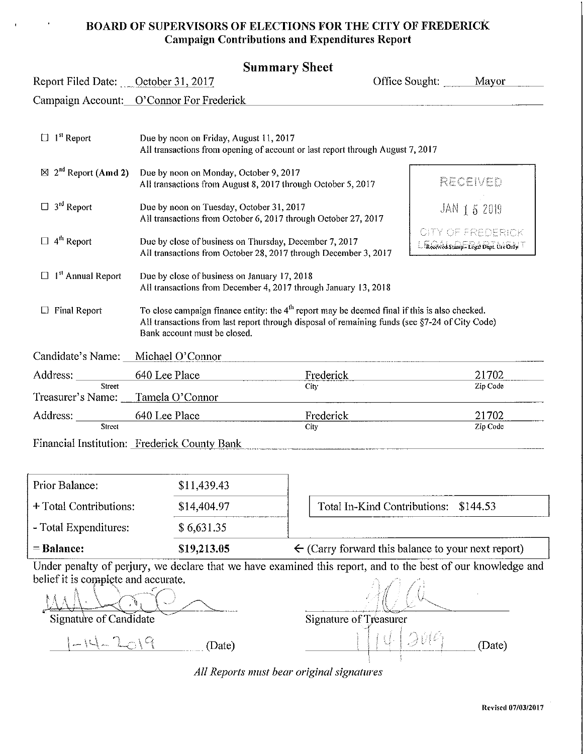#### **BOARD OF SUPERVISORS OF ELECTIONS FOR THE CITY OF FREDERICK Campaign Contributions and Expenditures Report**

#### **Summary Sheet**

| Report Filed Date: October 31, 2017        |                                                        |                                                                                                                                                                                                   | Mayor                                                             |
|--------------------------------------------|--------------------------------------------------------|---------------------------------------------------------------------------------------------------------------------------------------------------------------------------------------------------|-------------------------------------------------------------------|
|                                            | Campaign Account: O'Connor For Frederick               |                                                                                                                                                                                                   |                                                                   |
| $\Box$ 1 <sup>st</sup> Report              | Due by noon on Friday, August 11, 2017                 | All transactions from opening of account or last report through August 7, 2017                                                                                                                    |                                                                   |
| $\boxtimes$ 2 <sup>nd</sup> Report (Amd 2) | Due by noon on Monday, October 9, 2017                 | All transactions from August 8, 2017 through October 5, 2017                                                                                                                                      | Recover                                                           |
| $\Box$ 3 <sup>rd</sup> Report              | Due by noon on Tuesday, October 31, 2017               | All transactions from October 6, 2017 through October 27, 2017                                                                                                                                    | JAN 1 5 2019                                                      |
| 4 <sup>th</sup> Report                     | Due by close of business on Thursday, December 7, 2017 | All transactions from October 28, 2017 through December 3, 2017                                                                                                                                   | <b>CITY OF FREDERICK</b><br>Received Stamp - Regal Dept. Use Only |
| 1 <sup>st</sup> Annual Report              | Due by close of business on January 17, 2018           | All transactions from December 4, 2017 through January 13, 2018                                                                                                                                   |                                                                   |
| <b>Final Report</b>                        | Bank account must be closed.                           | To close campaign finance entity: the $4th$ report may be deemed final if this is also checked.<br>All transactions from last report through disposal of remaining funds (see §7-24 of City Code) |                                                                   |
| Candidate's Name:                          | Michael O'Connor                                       |                                                                                                                                                                                                   |                                                                   |
| Address: _________                         | 640 Lee Place                                          | Frederick                                                                                                                                                                                         | 21702                                                             |
| Street<br>Treasurer's Name:                | Tamela O'Connor                                        | City                                                                                                                                                                                              | Zip Code                                                          |
| Address: _________                         | 640 Lee Place                                          | Frederick                                                                                                                                                                                         | 21702                                                             |
| Street                                     |                                                        | City                                                                                                                                                                                              | Zip Code                                                          |
|                                            | Financial Institution: Frederick County Bank           |                                                                                                                                                                                                   |                                                                   |

|                        |             | Undownantly of noving year doolove that we have accusived this wagest and to the boot of our knowledge and |
|------------------------|-------------|------------------------------------------------------------------------------------------------------------|
| $=$ Balance:           | \$19,213.05 | $\leftarrow$ (Carry forward this balance to your next report)                                              |
| - Total Expenditures:  | \$6,631.35  |                                                                                                            |
| + Total Contributions: | \$14,404.97 | Total In-Kind Contributions: \$144.53                                                                      |
| Prior Balance:         | \$11,439.43 |                                                                                                            |

Under penalty of perjury, we declare that we have examined this report, and to the best of our knowledge and belief it is complete and accurate.

MAN . COMPLET LITE REGIONAL . COMPLETE LITE RUGATION . AND . COMPLETE LITE REGION . AND . Signature of Typeasure r ...

 $1 - 14 - 2019$ 

 $(Date)$   $\qquad \qquad \qquad$   $\qquad \qquad$   $\qquad \qquad$   $\qquad \qquad$   $\qquad \qquad$   $(Date)$   $(Date)$ 

*All Reports must bear original signatures*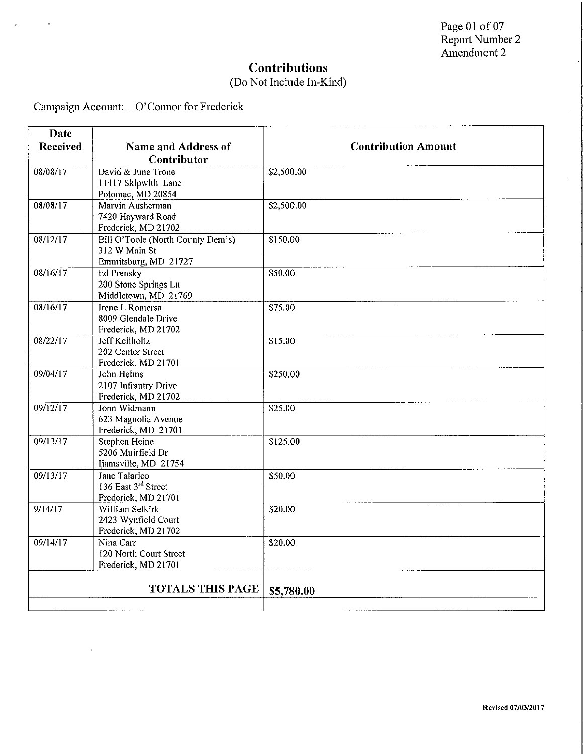## **Contributions**

## (Do Not Include In-Kind)

Campaign Account: O'Connor for Frederick

 $\hat{\mathbf{r}}$ 

 $\ddot{\phantom{1}}$ 

| Date<br>Received | <b>Name and Address of</b>                                                 | <b>Contribution Amount</b> |
|------------------|----------------------------------------------------------------------------|----------------------------|
|                  | <b>Contributor</b>                                                         |                            |
| 08/08/17         | David & June Trone<br>11417 Skipwith Lane<br>Potomac, MD 20854             | \$2,500.00                 |
| 08/08/17         | Marvin Ausherman<br>7420 Hayward Road<br>Frederick, MD 21702               | \$2,500.00                 |
| 08/12/17         | Bill O'Toole (North County Dem's)<br>312 W Main St<br>Emmitsburg, MD 21727 | \$150.00                   |
| 08/16/17         | <b>Ed Prensky</b><br>200 Stone Springs Ln<br>Middletown, MD 21769          | \$50.00                    |
| 08/16/17         | Irene L Romersa<br>8009 Glendale Drive<br>Frederick, MD 21702              | \$75.00                    |
| 08/22/17         | <b>Jeff Keilholtz</b><br>202 Center Street<br>Frederick, MD 21701          | \$15.00                    |
| 09/04/17         | John Helms<br>2107 Infrantry Drive<br>Frederick, MD 21702                  | \$250.00                   |
| 09/12/17         | John Widmann<br>623 Magnolia Avenue<br>Frederick, MD 21701                 | \$25.00                    |
| 09/13/17         | <b>Stephen Heine</b><br>5206 Muirfield Dr<br>Ijamsville, MD 21754          | \$125.00                   |
| 09/13/17         | Jane Talarico<br>136 East 3rd Street<br>Frederick, MD 21701                | \$50.00                    |
| 9/14/17          | William Selkirk<br>2423 Wynfield Court<br>Frederick, MD 21702              | \$20.00                    |
| 09/14/17         | Nina Carr<br>120 North Court Street<br>Frederick, MD 21701                 | \$20.00                    |
|                  | <b>TOTALS THIS PAGE</b>                                                    | \$5,780.00                 |
|                  |                                                                            |                            |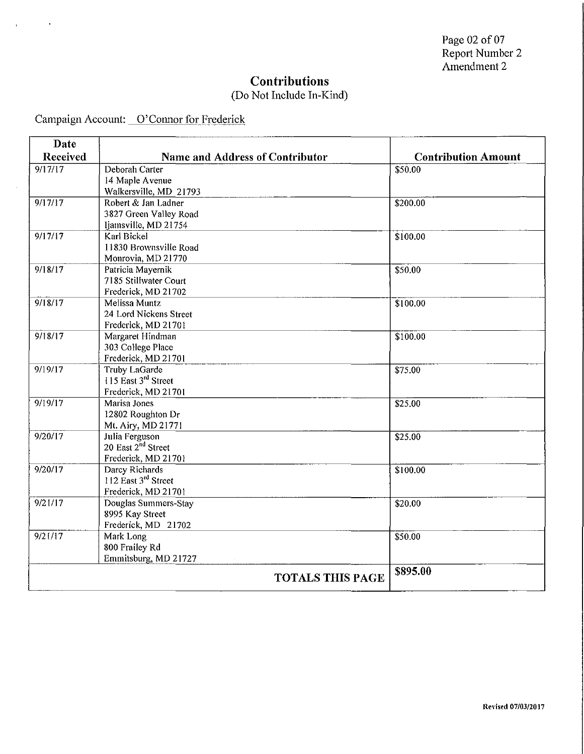### **Contributions**

#### (Do Not Include In-Kind)

Campaign Account: O'Connor for Frederick

| Date            |                                 |                            |
|-----------------|---------------------------------|----------------------------|
| <b>Received</b> | Name and Address of Contributor | <b>Contribution Amount</b> |
| 9/17/17         | Deborah Carter                  | \$50.00                    |
|                 | 14 Maple Avenue                 |                            |
|                 | Walkersville, MD 21793          |                            |
| 9/17/17         | Robert & Jan Ladner             | \$200.00                   |
|                 | 3827 Green Valley Road          |                            |
|                 | Ijamsville, MD 21754            |                            |
| 9/17/17         | Karl Bickel                     | \$100.00                   |
|                 | 11830 Brownsville Road          |                            |
|                 | Monrovia, MD 21770              |                            |
| 9/18/17         | Patricia Mayernik               | \$50.00                    |
|                 | 7185 Stillwater Court           |                            |
|                 | Frederick, MD 21702             |                            |
| 9/18/17         | Melissa Muntz                   | \$100.00                   |
|                 | 24 Lord Nickens Street          |                            |
|                 | Frederick, MD 21701             |                            |
| 9/18/17         | Margaret Hindman                | \$100.00                   |
|                 | 303 College Place               |                            |
|                 | Frederick, MD 21701             |                            |
| 9/19/17         | <b>Truby LaGarde</b>            | \$75.00                    |
|                 | 115 East 3rd Street             |                            |
|                 | Frederick, MD 21701             |                            |
| 9/19/17         | Marisa Jones                    | \$25.00                    |
|                 | 12802 Roughton Dr               |                            |
|                 | Mt. Airy, MD 21771              |                            |
| 9/20/17         | Julia Ferguson                  | \$25.00                    |
|                 | 20 East 2 <sup>nd</sup> Street  |                            |
|                 | Frederick, MD 21701             |                            |
| 9/20/17         | Darcy Richards                  | \$100.00                   |
|                 | 112 East 3rd Street             |                            |
|                 | Frederick, MD 21701             |                            |
| 9/21/17         | Douglas Summers-Stay            | \$20.00                    |
|                 | 8995 Kay Street                 |                            |
|                 | Frederick, MD 21702             |                            |
| 9/21/17         | Mark Long                       | \$50.00                    |
|                 | 800 Frailey Rd                  |                            |
|                 | Emmitsburg, MD 21727            |                            |
|                 | <b>TOTALS THIS PAGE</b>         | \$895.00                   |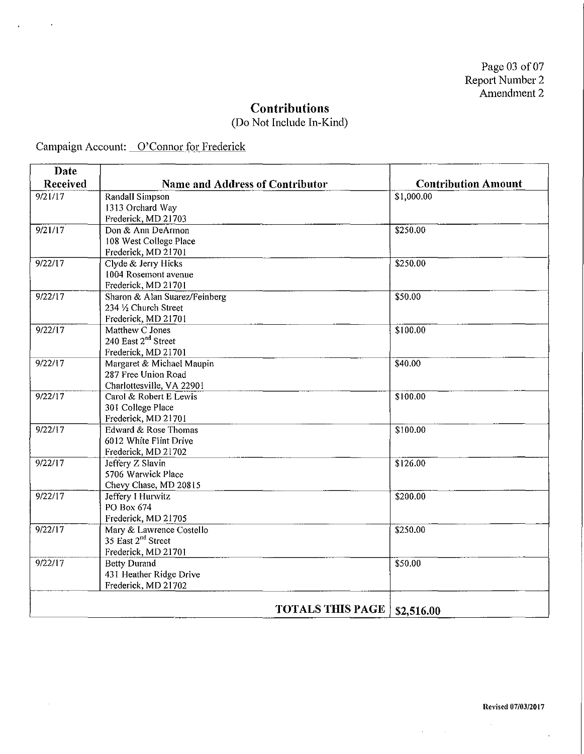$\sim$  100

### **Contributions**

(Do Not Include In-Kind)

Campaign Account: O'Connor for Frederick

J,

l,

 $\mathcal{A}^{\mathcal{A}}$ 

| Date     |                                                    |                            |
|----------|----------------------------------------------------|----------------------------|
| Received | <b>Name and Address of Contributor</b>             | <b>Contribution Amount</b> |
| 9/21/17  | Randall Simpson                                    | \$1,000.00                 |
|          | 1313 Orchard Way                                   |                            |
|          | Frederick, MD 21703                                |                            |
| 9/21/17  | Don & Ann DeArmon                                  | \$250.00                   |
|          | 108 West College Place                             |                            |
|          | Frederick, MD 21701                                |                            |
| 9/22/17  | Clyde & Jerry Hicks                                | \$250.00                   |
|          | 1004 Rosemont avenue                               |                            |
|          | Frederick, MD 21701                                |                            |
| 9/22/17  | Sharon & Alan Suarez/Feinberg                      | \$50.00                    |
|          | 234 1/2 Church Street                              |                            |
| 9/22/17  | Frederick, MD 21701                                |                            |
|          | Matthew C Jones<br>240 East 2 <sup>nd</sup> Street | \$100.00                   |
|          | Frederick, MD 21701                                |                            |
| 9/22/17  | Margaret & Michael Maupin                          | \$40.00                    |
|          | 287 Free Union Road                                |                            |
|          | Charlottesville, VA 22901                          |                            |
| 9/22/17  | Carol & Robert E Lewis                             | \$100.00                   |
|          | 301 College Place                                  |                            |
|          | Frederick, MD 21701                                |                            |
| 9/22/17  | Edward & Rose Thomas                               | \$100.00                   |
|          | 6012 White Flint Drive                             |                            |
|          | Frederick, MD 21702                                |                            |
| 9/22/17  | Jeffery Z Slavin                                   | \$126.00                   |
|          | 5706 Warwick Place                                 |                            |
|          | Chevy Chase, MD 20815                              |                            |
| 9/22/17  | Jeffery I Hurwitz                                  | \$200.00                   |
|          | PO Box 674                                         |                            |
|          | Frederick, MD 21705                                |                            |
| 9/22/17  | Mary & Lawrence Costello                           | \$250.00                   |
|          | 35 East 2 <sup>nd</sup> Street                     |                            |
|          | Frederick, MD 21701                                |                            |
| 9/22/17  | <b>Betty Durand</b>                                | \$50.00                    |
|          | 431 Heather Ridge Drive                            |                            |
|          | Frederick, MD 21702                                |                            |
|          | <b>TOTALS THIS PAGE</b>                            | \$2,516.00                 |
|          |                                                    |                            |

**Rel'ised 07/03/2017** 

 $\bar{z}$ 

 $\mathcal{A}^{\prime}$ 

 $\mathcal{A}^{\text{max}}_{\text{max}}$  and  $\mathcal{A}^{\text{max}}_{\text{max}}$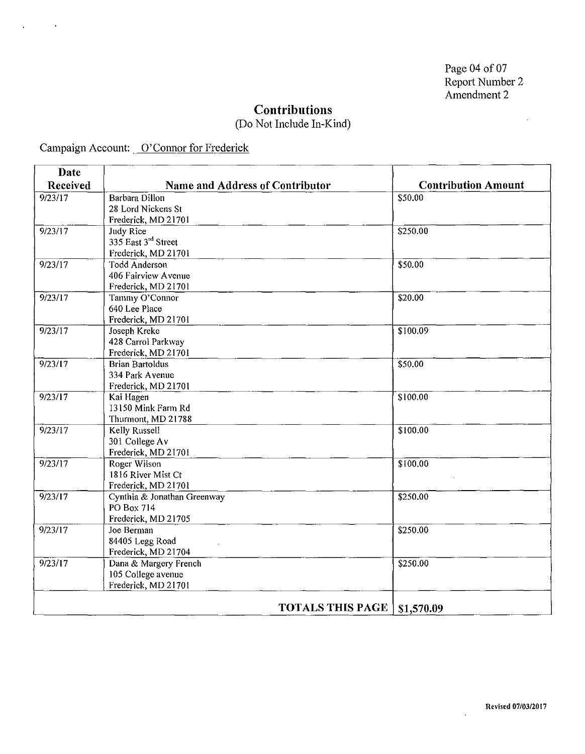$\sim$ 

### **Contributions**

(Do Not Include In-Kind)

 $\overline{\phantom{a}}$ 

 $\overline{a}$ 

Campaign Account: O'Connor for Frederick

 $\ddot{\phantom{1}}$ 

 $\ddot{\phantom{a}}$ 

| Date     |                                        |                         |                            |
|----------|----------------------------------------|-------------------------|----------------------------|
| Received | <b>Name and Address of Contributor</b> |                         | <b>Contribution Amount</b> |
| 9/23/17  | Barbara Dillon                         |                         | \$50.00                    |
|          | 28 Lord Nickens St                     |                         |                            |
|          | Frederick, MD 21701                    |                         |                            |
| 9/23/17  | Judy Rice                              |                         | \$250.00                   |
|          | 335 East 3rd Street                    |                         |                            |
|          | Frederick, MD 21701                    |                         |                            |
| 9/23/17  | <b>Todd Anderson</b>                   |                         | \$50.00                    |
|          | 406 Fairview Avenue                    |                         |                            |
|          | Frederick, MD 21701                    |                         |                            |
| 9/23/17  | Tammy O'Connor                         |                         | \$20.00                    |
|          | 640 Lee Place                          |                         |                            |
|          | Frederick, MD 21701                    |                         |                            |
| 9/23/17  | Joseph Kreke                           |                         | $\overline{$100.09}$       |
|          | 428 Carrol Parkway                     |                         |                            |
|          | Frederick, MD 21701                    |                         |                            |
| 9/23/17  | <b>Brian Bartoldus</b>                 |                         | \$50.00                    |
|          | 334 Park Avenue                        |                         |                            |
|          | Frederick, MD 21701                    |                         |                            |
| 9/23/17  | Kai Hagen                              |                         | \$100.00                   |
|          | 13150 Mink Farm Rd                     |                         |                            |
|          | Thurmont, MD 21788                     |                         |                            |
| 9/23/17  | Kelly Russell                          |                         | \$100.00                   |
|          | 301 College Av                         |                         |                            |
|          | Frederick, MD 21701                    |                         |                            |
| 9/23/17  | Roger Wilson                           |                         | \$100.00                   |
|          | 1816 River Mist Ct                     |                         |                            |
|          | Frederick, MD 21701                    |                         |                            |
| 9/23/17  | Cynthia & Jonathan Greenway            |                         | \$250.00                   |
|          | PO Box 714                             |                         |                            |
|          | Frederick, MD 21705                    |                         |                            |
| 9/23/17  | Joe Berman                             |                         | \$250.00                   |
|          | 84405 Legg Road                        |                         |                            |
|          | Frederick, MD 21704                    |                         |                            |
| 9/23/17  | Dana & Margery French                  |                         | \$250.00                   |
|          | 105 College avenue                     |                         |                            |
|          | Frederick, MD 21701                    |                         |                            |
|          |                                        |                         |                            |
|          |                                        | <b>TOTALS THIS PAGE</b> | \$1,570.09                 |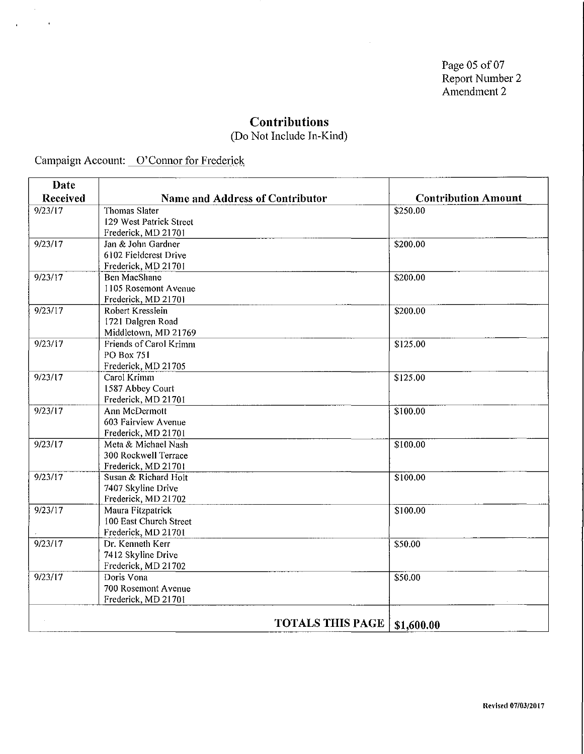Page 05 of 07 Report Number 2 Amendment 2

## **Contributions**

(Do Not Include In-Kind)

Campaign Account: O'Connor for Frederick

 $\mathcal{L}_{\mathcal{L}}$ 

 $\mathbf{r}$ 

 $\ddot{\phantom{a}}$ 

| Date     |                                 |                            |
|----------|---------------------------------|----------------------------|
| Received | Name and Address of Contributor | <b>Contribution Amount</b> |
| 9/23/17  | <b>Thomas Slater</b>            | \$250.00                   |
|          | 129 West Patrick Street         |                            |
|          | Frederick, MD 21701             |                            |
| 9/23/17  | Jan & John Gardner              | \$200.00                   |
|          | 6102 Fieldcrest Drive           |                            |
|          | Frederick, MD 21701             |                            |
| 9/23/17  | <b>Ben MacShane</b>             | \$200.00                   |
|          | 1105 Rosemont Avenue            |                            |
|          | Frederick, MD 21701             |                            |
| 9/23/17  | Robert Kresslein                | \$200.00                   |
|          | 1721 Dalgren Road               |                            |
|          | Middletown, MD 21769            |                            |
| 9/23/17  | Friends of Carol Krimm          | \$125.00                   |
|          | <b>PO Box 751</b>               |                            |
|          | Frederick, MD 21705             |                            |
| 9/23/17  | Carol Krimm                     | \$125.00                   |
|          | 1587 Abbey Court                |                            |
|          | Frederick, MD 21701             |                            |
| 9/23/17  | Ann McDermott                   | \$100.00                   |
|          | 603 Fairview Avenue             |                            |
|          | Frederick, MD 21701             |                            |
| 9/23/17  | Meta & Michael Nash             | \$100.00                   |
|          | 300 Rockwell Terrace            |                            |
|          | Frederick, MD 21701             |                            |
| 9/23/17  | Susan & Richard Holt            | 3100.00                    |
|          | 7407 Skyline Drive              |                            |
|          | Frederick, MD 21702             |                            |
| 9/23/17  | Maura Fitzpatrick               | \$100.00                   |
|          | 100 East Church Street          |                            |
|          | Frederick, MD 21701             |                            |
| 9/23/17  | Dr. Kenneth Kerr                | \$50.00                    |
|          | 7412 Skyline Drive              |                            |
|          | Frederick, MD 21702             |                            |
| 9/23/17  | Doris Vona                      | \$50.00                    |
|          | 700 Rosemont Avenue             |                            |
|          | Frederick, MD 21701             |                            |
|          | <b>TOTALS THIS PAGE</b>         |                            |
|          |                                 | \$1,600.00                 |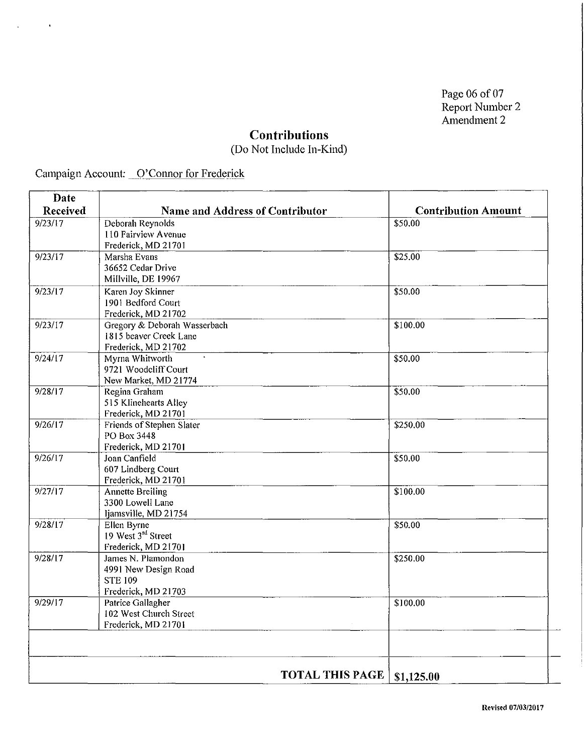Page 06 of 07 Report Number 2 Amendment 2

### **Contributions**

(Do Not Include In-Kind)

Campaign Account: O'Connor for Frederick

 $\hat{\mathbf{r}}$ 

 $\bar{z}$ 

| Date     |                                                                                     |                            |
|----------|-------------------------------------------------------------------------------------|----------------------------|
| Received | <b>Name and Address of Contributor</b>                                              | <b>Contribution Amount</b> |
| 9/23/17  | Deborah Reynolds<br>110 Fairview Avenue<br>Frederick, MD 21701                      | \$50.00                    |
| 9/23/17  | Marsha Evans<br>36652 Cedar Drive<br>Millville, DE 19967                            | \$25.00                    |
| 9/23/17  | Karen Joy Skinner<br>1901 Bedford Court<br>Frederick, MD 21702                      | \$50.00                    |
| 9/23/17  | Gregory & Deborah Wasserbach<br>1815 beaver Creek Lane<br>Frederick, MD 21702       | \$100.00                   |
| 9/24/17  | Myrna Whitworth<br>9721 Woodcliff Court<br>New Market, MD 21774                     | \$50.00                    |
| 9/28/17  | Regina Graham<br>515 Klinehearts Alley<br>Frederick, MD 21701                       | \$50.00                    |
| 9/26/17  | Friends of Stephen Slater<br>PO Box 3448<br>Frederick, MD 21701                     | \$250.00                   |
| 9/26/17  | Joan Canfield<br>607 Lindberg Court<br>Frederick, MD 21701                          | \$50.00                    |
| 9/27/17  | <b>Annette Breiling</b><br>3300 Lowell Lane<br>Ijamsville, MD 21754                 | \$100.00                   |
| 9/28/17  | Ellen Byrne<br>19 West 3 <sup>rd</sup> Street<br>Frederick, MD 21701                | \$50.00                    |
| 9/28/17  | James N. Plamondon<br>4991 New Design Road<br><b>STE 109</b><br>Frederick, MD 21703 | \$250.00                   |
| 9/29/17  | Patrice Gallagher<br>102 West Church Street<br>Frederick, MD 21701                  | \$100.00                   |
|          |                                                                                     |                            |
|          | <b>TOTAL THIS PAGE</b>                                                              | \$1,125.00                 |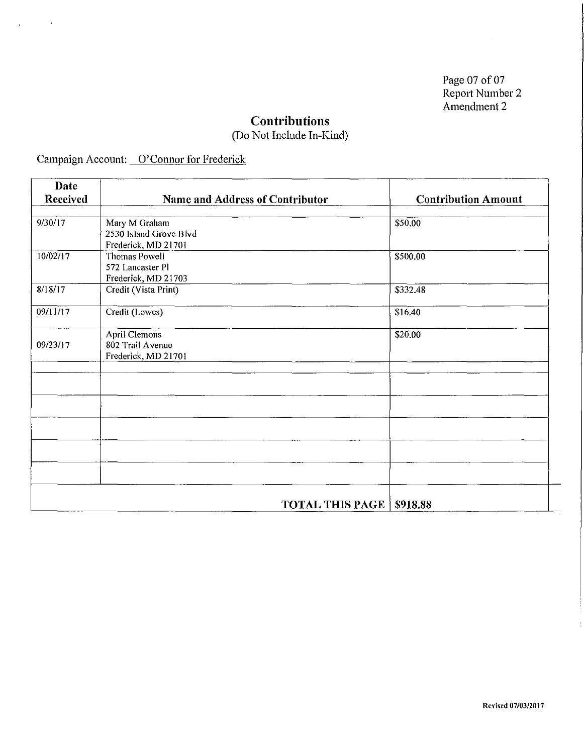Page 07 of 07 Report Number 2 Amendment 2

 $\sim 10^{-1}$ 

## **Contributions**

(Do Not Include In-Kind)

Campaign Account: O'Connor for Frederick

 $\hat{\textbf{r}}$ 

 $\overline{\phantom{a}}$ 

| <b>Date</b>          |                                 |                            |
|----------------------|---------------------------------|----------------------------|
| Received             | Name and Address of Contributor | <b>Contribution Amount</b> |
| $9/30/\overline{17}$ | Mary M Graham                   | \$50.00                    |
|                      | 2530 Island Grove Blvd          |                            |
|                      | Frederick, MD 21701             |                            |
| 10/02/17             | Thomas Powell                   | \$500.00                   |
|                      | 572 Lancaster Pl                |                            |
|                      | Frederick, MD 21703             |                            |
| 8/18/17              | Credit (Vista Print)            | \$332.48                   |
| 09/11/17             | Credit (Lowes)                  | \$16.40                    |
|                      | April Clemons                   | \$20.00                    |
| 09/23/17             | 802 Trail Avenue                |                            |
|                      | Frederick, MD 21701             |                            |
|                      |                                 |                            |
|                      |                                 |                            |
|                      |                                 |                            |
|                      |                                 |                            |
|                      |                                 |                            |
|                      |                                 |                            |
|                      |                                 |                            |
|                      |                                 |                            |
|                      |                                 |                            |
|                      | <b>TOTAL THIS PAGE</b>          | \$918.88                   |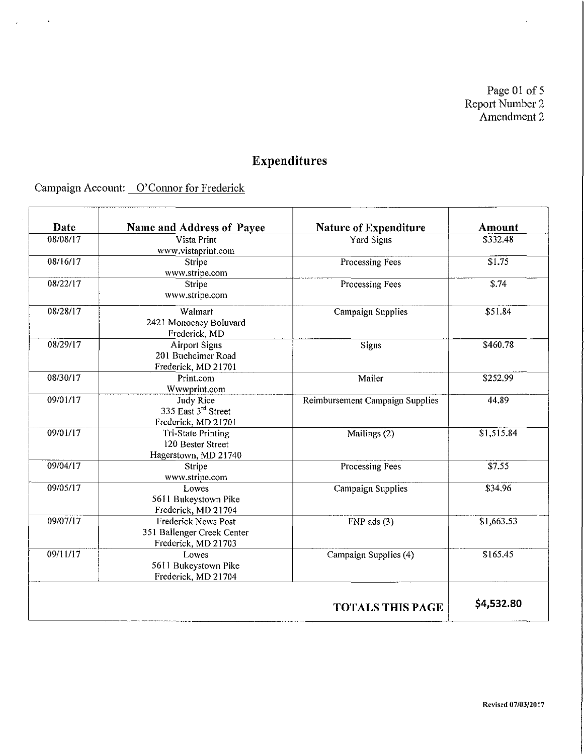Page 01 of 5 Report Number 2 Amendment 2

# **Expenditures**

Campaign Account: O'Connor for Frederick

 $\ddot{\phantom{1}}$ 

 $\mathcal{L}$ 

| Date     | Name and Address of Payee                                                  | <b>Nature of Expenditure</b>    | Amount             |
|----------|----------------------------------------------------------------------------|---------------------------------|--------------------|
| 08/08/17 | Vista Print<br>www.vistaprint.com                                          | <b>Yard Signs</b>               | \$332.48           |
| 08/16/17 | Stripe<br>www.stripe.com                                                   | Processing Fees                 | \$1.75             |
| 08/22/17 | <b>Stripe</b><br>www.stripe.com                                            | Processing Fees                 | $\overline{$3.74}$ |
| 08/28/17 | Walmart<br>2421 Monocacy Boluvard<br>Frederick, MD                         | <b>Campaign Supplies</b>        | \$51.84            |
| 08/29/17 | <b>Airport Signs</b><br>201 Bucheimer Road<br>Frederick, MD 21701          | <b>Signs</b>                    | \$460.78           |
| 08/30/17 | Print.com<br>Wwwprint.com                                                  | Mailer                          | \$252.99           |
| 09/01/17 | <b>Judy Rice</b><br>335 East 3 <sup>rd</sup> Street<br>Frederick, MD 21701 | Reimbursement Campaign Supplies | 44.89              |
| 09/01/17 | <b>Tri-State Printing</b><br>120 Bester Street<br>Hagerstown, MD 21740     | Mailings $(2)$                  | \$1,515.84         |
| 09/04/17 | Stripe<br>www.stripe.com                                                   | Processing Fees                 | 37.55              |
| 09/05/17 | Lowes<br>5611 Bukeystown Pike<br>Frederick, MD 21704                       | Campaign Supplies               | \$34.96            |
| 09/07/17 | Frederick News Post<br>351 Ballenger Creek Center<br>Frederick, MD 21703   | $FNP$ ads $(3)$                 | \$1,663.53         |
| 09/11/17 | Lowes<br>5611 Bukeystown Pike<br>Frederick, MD 21704                       | Campaign Supplies (4)           | \$165.45           |
|          |                                                                            | <b>TOTALS THIS PAGE</b>         | \$4,532.80         |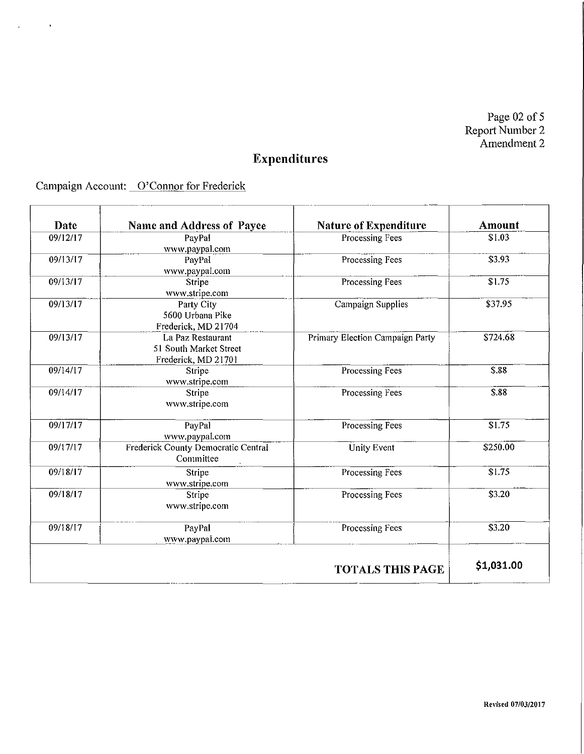Page  $02$  of 5 Report Number 2 Amendment 2

# **Expenditures**

Campaign Account: O'Connor for Frederick

 $\hat{\mathbf{r}}$ 

 $\overline{\phantom{a}}$ 

| Date     | Name and Address of Payee           | Nature of Expenditure           | <b>Amount</b>      |
|----------|-------------------------------------|---------------------------------|--------------------|
| 09/12/17 | PayPal                              | Processing Fees                 | \$1.03             |
| 09/13/17 | www.paypal.com                      |                                 | \$3.93             |
|          | PayPal<br>www.paypal.com            | Processing Fees                 |                    |
| 09/13/17 | Stripe                              | Processing Fees                 | \$1.75             |
|          | www.stripe.com                      |                                 |                    |
| 09/13/17 | Party City                          | Campaign Supplies               | \$37.95            |
|          | 5600 Urbana Pike                    |                                 |                    |
|          | Frederick, MD 21704                 |                                 |                    |
| 09/13/17 | La Paz Restaurant                   | Primary Election Campaign Party | \$724.68           |
|          | 51 South Market Street              |                                 |                    |
|          | Frederick, MD 21701                 |                                 |                    |
| 09/14/17 | Stripe                              | <b>Processing Fees</b>          | \$.88              |
|          | www.stripe.com                      |                                 |                    |
| 09/14/17 | Stripe                              | Processing Fees                 | \$.88              |
|          | www.stripe.com                      |                                 |                    |
| 09/17/17 | PayPal                              | Processing Fees                 | $\overline{$1.75}$ |
|          | www.paypal.com                      |                                 |                    |
| 09/17/17 | Frederick County Democratic Central | <b>Unity Event</b>              | \$250.00           |
|          | Committee                           |                                 |                    |
| 09/18/17 | Stripe                              | <b>Processing Fees</b>          | \$1.75             |
|          | www.stripe.com                      |                                 |                    |
| 09/18/17 | Stripe                              | Processing Fees                 | \$3.20             |
|          | www.stripe.com                      |                                 |                    |
| 09/18/17 | PayPal                              | Processing Fees                 | \$3.20             |
|          | www.paypal.com                      |                                 |                    |
|          |                                     | <b>TOTALS THIS PAGE</b>         | \$1,031.00         |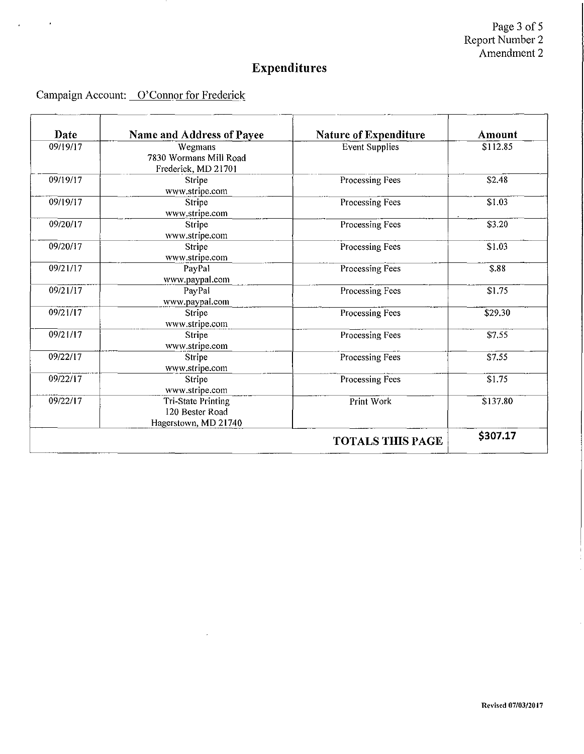Page 3 of 5 RepOit Number 2 Amendment 2

## **Expenditures**

-

Campaign Account: O'Connor for Frederick

 $\overline{1}$ 

| Date     | Name and Address of Payee                                     | <b>Nature of Expenditure</b> | Amount   |
|----------|---------------------------------------------------------------|------------------------------|----------|
| 09/19/17 | Wegmans<br>7830 Wormans Mill Road<br>Frederick, MD 21701      | <b>Event Supplies</b>        | \$112.85 |
| 09/19/17 | Stripe<br>www.stripe.com                                      | Processing Fees              | \$2.48   |
| 09/19/17 | Stripe<br>www.stripe.com                                      | Processing Fees              | \$1.03   |
| 09/20/17 | Stripe<br>www.stripe.com                                      | Processing Fees              | \$3.20   |
| 09/20/17 | <b>Stripe</b><br>www.stripe.com                               | <b>Processing Fees</b>       | \$1.03   |
| 09/21/17 | PayPal<br>www.paypal.com                                      | Processing Fees              | \$.88    |
| 09/21/17 | PayPal<br>www.paypal.com                                      | Processing Fees              | \$1.75   |
| 09/21/17 | Stripe<br>www.stripe.com                                      | <b>Processing Fees</b>       | \$29.30  |
| 09/21/17 | Stripe<br>www.stripe.com                                      | Processing Fees              | \$7.55   |
| 09/22/17 | <b>Stripe</b><br>www.stripe.com                               | Processing Fees              | \$7.55   |
| 09/22/17 | Stripe<br>www.stripe.com                                      | Processing Fees              | \$1.75   |
| 09/22/17 | Tri-State Printing<br>120 Bester Road<br>Hagerstown, MD 21740 | Print Work                   | \$137.80 |
|          |                                                               | <b>TOTALS THIS PAGE</b>      | \$307.17 |

 $\hat{\mathcal{A}}$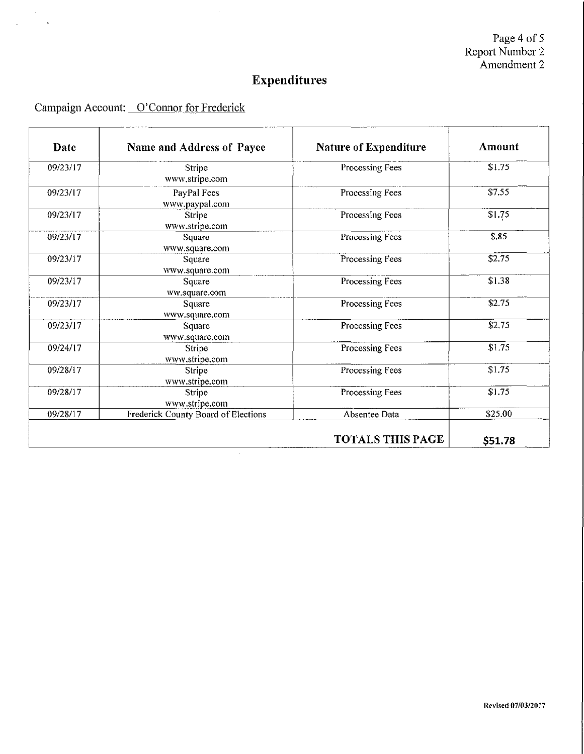Page 4 of 5 Report Number 2 Amendment 2

## **Expenditures**

#### Campaign Account: O'Connor for Frederick

| Date     | Name and Address of Payee           | Nature of Expenditure   | <b>Amount</b> |
|----------|-------------------------------------|-------------------------|---------------|
| 09/23/17 | Stripe<br>www.stripe.com            | Processing Fees         | \$1.75        |
| 09/23/17 | PayPal Fees<br>www.paypal.com       | Processing Fees         | \$7.55        |
| 09/23/17 | Stripe<br>www.stripe.com            | Processing Fees         | \$1.75        |
| 09/23/17 | Square<br>www.square.com            | Processing Fees         | \$.85         |
| 09/23/17 | Square<br>www.square.com            | Processing Fees         | \$2.75        |
| 09/23/17 | Square<br>ww.square.com             | Processing Fees         | \$1.38        |
| 09/23/17 | Square<br>www.square.com            | Processing Fees         | \$2.75        |
| 09/23/17 | Square<br>www.square.com            | Processing Fees         | \$2.75        |
| 09/24/17 | Stripe<br>www.stripe.com            | Processing Fees         | \$1.75        |
| 09/28/17 | Stripe<br>www.stripe.com            | Processing Fees         | \$1.75        |
| 09/28/17 | Stripe<br>www.stripe.com            | Processing Fees         | \$1.75        |
| 09/28/17 | Frederick County Board of Elections | Absentee Data           | \$25.00       |
|          |                                     | <b>TOTALS THIS PAGE</b> | \$51.78       |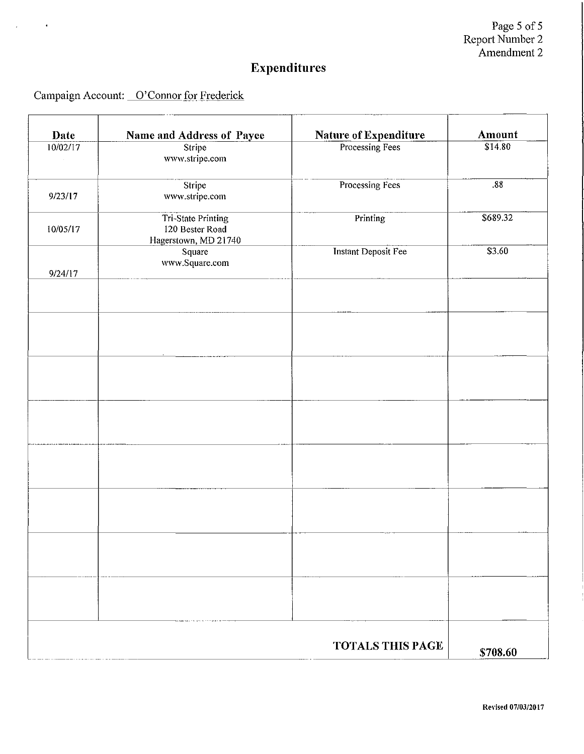Page 5 of 5 Report Number 2 Amendment 2

# **Expenditures**

Campaign Account: O'Connor for Frederick

 $\ddot{\phantom{a}}$ 

 $\mathbf{r}$ 

| Date     | <b>Name and Address of Payee</b>                                     | <b>Nature of Expenditure</b> | Amount   |
|----------|----------------------------------------------------------------------|------------------------------|----------|
| 10/02/17 | Stripe<br>www.stripe.com                                             | Processing Fees              | \$14.80  |
| 9/23/17  | Stripe<br>www.stripe.com                                             | Processing Fees              | .88      |
| 10/05/17 | <b>Tri-State Printing</b><br>120 Bester Road<br>Hagerstown, MD 21740 | Printing                     | \$689.32 |
| 9/24/17  | Square<br>www.Square.com                                             | <b>Instant Deposit Fee</b>   | \$3.60   |
|          |                                                                      |                              |          |
|          |                                                                      |                              |          |
|          |                                                                      |                              |          |
|          |                                                                      |                              |          |
|          |                                                                      |                              |          |
|          |                                                                      |                              |          |
|          |                                                                      |                              |          |
|          |                                                                      |                              |          |
|          |                                                                      | <b>TOTALS THIS PAGE</b>      | \$708.60 |